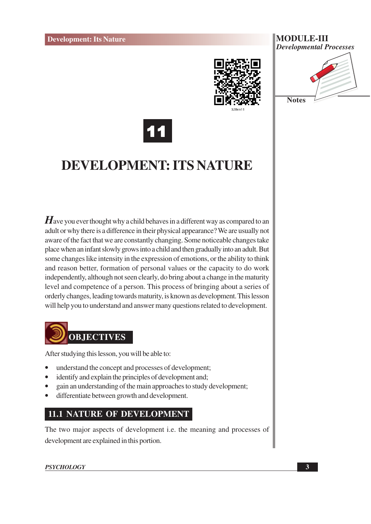

#### **MODULE-III Developmental Processes**





# **DEVELOPMENT: ITS NATURE**

 $\boldsymbol{H}$  ave you ever thought why a child behaves in a different way as compared to an adult or why there is a difference in their physical appearance? We are usually not aware of the fact that we are constantly changing. Some noticeable changes take place when an infant slowly grows into a child and then gradually into an adult. But some changes like intensity in the expression of emotions, or the ability to think and reason better, formation of personal values or the capacity to do work independently, although not seen clearly, do bring about a change in the maturity level and competence of a person. This process of bringing about a series of orderly changes, leading towards maturity, is known as development. This lesson will help you to understand and answer many questions related to development.



After studying this lesson, you will be able to:

- understand the concept and processes of development;
- identify and explain the principles of development and;
- gain an understanding of the main approaches to study development;
- differentiate between growth and development.

#### **11.1 NATURE OF DEVELOPMENT**

The two major aspects of development i.e. the meaning and processes of development are explained in this portion.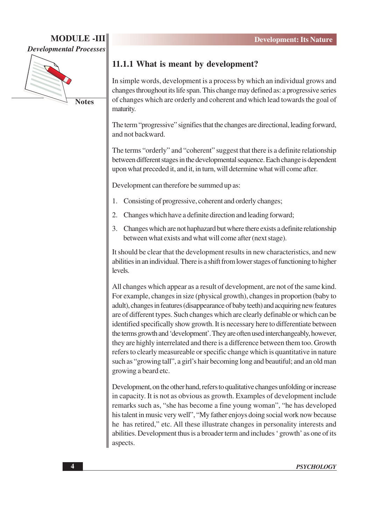#### **MODULE -III Developmental Processes**



**Notes** 

#### 11.1.1 What is meant by development?

In simple words, development is a process by which an individual grows and changes throughout its life span. This change may defined as: a progressive series of changes which are orderly and coherent and which lead towards the goal of maturity.

The term "progressive" signifies that the changes are directional, leading forward, and not backward.

The terms "orderly" and "coherent" suggest that there is a definite relationship between different stages in the developmental sequence. Each change is dependent upon what preceded it, and it, in turn, will determine what will come after.

Development can therefore be summed up as:

- Consisting of progressive, coherent and orderly changes:  $1.$
- $\overline{2}$ . Changes which have a definite direction and leading forward;
- Changes which are not haphazard but where there exists a definite relationship  $\mathcal{E}$ between what exists and what will come after (next stage).

It should be clear that the development results in new characteristics, and new abilities in an individual. There is a shift from lower stages of functioning to higher levels.

All changes which appear as a result of development, are not of the same kind. For example, changes in size (physical growth), changes in proportion (baby to adult), changes in features (disappearance of baby teeth) and acquiring new features are of different types. Such changes which are clearly definable or which can be identified specifically show growth. It is necessary here to differentiate between the terms growth and 'development'. They are often used interchangeably, however, they are highly interrelated and there is a difference between them too. Growth refers to clearly measureable or specific change which is quantitative in nature such as "growing tall", a girl's hair becoming long and beautiful; and an old man growing a beard etc.

Development, on the other hand, refers to qualitative changes unfolding or increase in capacity. It is not as obvious as growth. Examples of development include remarks such as, "she has become a fine young woman", "he has developed his talent in music very well", "My father enjoys doing social work now because he has retired," etc. All these illustrate changes in personality interests and abilities. Development thus is a broader term and includes 'growth' as one of its aspects.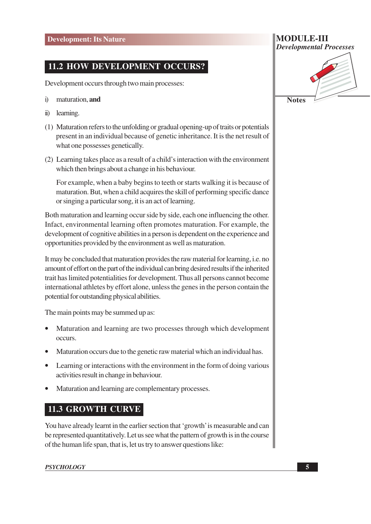#### **11.2 HOW DEVELOPMENT OCCURS?**

Development occurs through two main processes:

- $\ddot{1}$ maturation. and
- learning.  $\ddot{\mathbf{n}}$
- (1) Maturation refers to the unfolding or gradual opening-up of traits or potentials present in an individual because of genetic inheritance. It is the net result of what one possesses genetically.
- (2) Learning takes place as a result of a child's interaction with the environment which then brings about a change in his behaviour.

For example, when a baby begins to teeth or starts walking it is because of maturation. But, when a child acquires the skill of performing specific dance or singing a particular song, it is an act of learning.

Both maturation and learning occur side by side, each one influencing the other. Infact, environmental learning often promotes maturation. For example, the development of cognitive abilities in a person is dependent on the experience and opportunities provided by the environment as well as maturation.

It may be concluded that maturation provides the raw material for learning, *i.e.* no amount of effort on the part of the individual can bring desired results if the inherited trait has limited potentialities for development. Thus all persons cannot become international athletes by effort alone, unless the genes in the person contain the potential for outstanding physical abilities.

The main points may be summed up as:

- Maturation and learning are two processes through which development occurs.
- Maturation occurs due to the genetic raw material which an individual has.
- Learning or interactions with the environment in the form of doing various activities result in change in behaviour.
- Maturation and learning are complementary processes.

#### **11.3 GROWTH CURVE**

You have already learnt in the earlier section that 'growth' is measurable and can be represented quantitatively. Let us see what the pattern of growth is in the course of the human life span, that is, let us try to answer questions like:

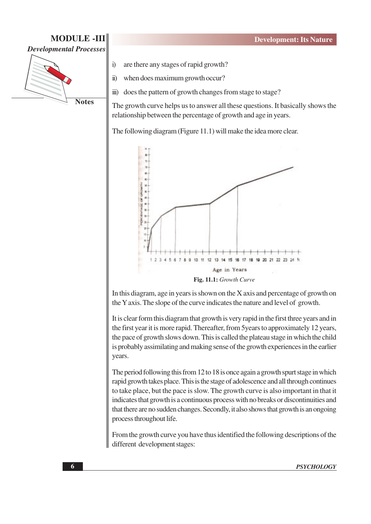# **Developmental Processes**

**Notes** 

 $\ddot{1}$ 

**MODULE -III** 

are there any stages of rapid growth?

 $\ddot{\textbf{i}})$ when does maximum growth occur?

does the pattern of growth changes from stage to stage?  $\dddot{\mathbf{m}}$ )

The growth curve helps us to answer all these questions. It basically shows the relationship between the percentage of growth and age in years.

The following diagram (Figure 11.1) will make the idea more clear.



In this diagram, age in years is shown on the X axis and percentage of growth on the Y axis. The slope of the curve indicates the nature and level of growth.

It is clear form this diagram that growth is very rapid in the first three years and in the first year it is more rapid. Thereafter, from 5 years to approximately 12 years, the pace of growth slows down. This is called the plateau stage in which the child is probably assimilating and making sense of the growth experiences in the earlier years.

The period following this from 12 to 18 is once again a growth spurt stage in which rapid growth takes place. This is the stage of adolescence and all through continues to take place, but the pace is slow. The growth curve is also important in that it indicates that growth is a continuous process with no breaks or discontinuities and that there are no sudden changes. Secondly, it also shows that growth is an ongoing process throughout life.

From the growth curve you have thus identified the following descriptions of the different development stages: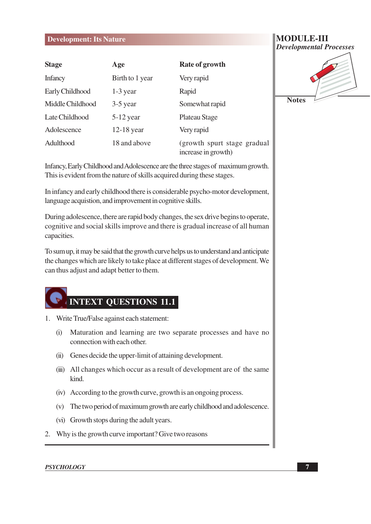#### **Development: Its Nature**

| <b>Stage</b>     | Age             | <b>Rate of growth</b>                               |  |
|------------------|-----------------|-----------------------------------------------------|--|
| <b>Infancy</b>   | Birth to 1 year | Very rapid                                          |  |
| Early Childhood  | $1-3$ year      | Rapid                                               |  |
| Middle Childhood | $3-5$ year      | Somewhat rapid                                      |  |
| Late Childhood   | $5-12$ year     | Plateau Stage                                       |  |
| Adolescence      | $12-18$ year    | Very rapid                                          |  |
| Adulthood        | 18 and above    | (growth spurt stage gradual)<br>increase in growth) |  |

Infancy, Early Childhood and Adolescence are the three stages of maximum growth. This is evident from the nature of skills acquired during these stages.

In infancy and early childhood there is considerable psycho-motor development, language acquistion, and improvement in cognitive skills.

During adolescence, there are rapid body changes, the sex drive begins to operate, cognitive and social skills improve and there is gradual increase of all human capacities.

To sum up, it may be said that the growth curve helps us to understand and anticipate the changes which are likely to take place at different stages of development. We can thus adjust and adapt better to them.



- 1. Write True/False against each statement:
	- Maturation and learning are two separate processes and have no  $(i)$ connection with each other.
	- (ii) Genes decide the upper-limit of attaining development.
	- (iii) All changes which occur as a result of development are of the same kind.
	- (iv) According to the growth curve, growth is an ongoing process.
	- (v) The two period of maximum growth are early childhood and adolescence.
	- (vi) Growth stops during the adult years.
- 2. Why is the growth curve important? Give two reasons

#### **PSYCHOLOGY**

#### **MODULE-III Developmental Processes**

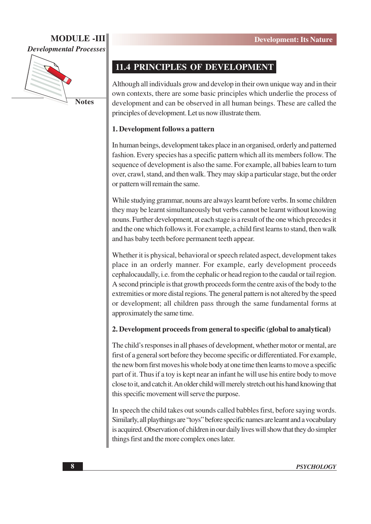# **MODULE-III**

**Developmental Processes** 



**Notes** 

#### **11.4 PRINCIPLES OF DEVELOPMENT**

Although all individuals grow and develop in their own unique way and in their own contexts, there are some basic principles which underlie the process of development and can be observed in all human beings. These are called the principles of development. Let us now illustrate them.

#### 1. Development follows a pattern

In human beings, development takes place in an organised, orderly and patterned fashion. Every species has a specific pattern which all its members follow. The sequence of development is also the same. For example, all babies learn to turn over, crawl, stand, and then walk. They may skip a particular stage, but the order or pattern will remain the same.

While studying grammar, nouns are always learnt before verbs. In some children they may be learnt simultaneously but verbs cannot be learnt without knowing nouns. Further development, at each stage is a result of the one which precedes it and the one which follows it. For example, a child first learns to stand, then walk and has baby teeth before permanent teeth appear.

Whether it is physical, behavioral or speech related aspect, development takes place in an orderly manner. For example, early development proceeds cephalocaudally, i.e. from the cephalic or head region to the caudal or tail region. A second principle is that growth proceeds form the centre axis of the body to the extremities or more distal regions. The general pattern is not altered by the speed or development; all children pass through the same fundamental forms at approximately the same time.

#### 2. Development proceeds from general to specific (global to analytical)

The child's responses in all phases of development, whether motor or mental, are first of a general sort before they become specific or differentiated. For example, the new born first moves his whole body at one time then learns to move a specific part of it. Thus if a toy is kept near an infant he will use his entire body to move close to it, and catch it. An older child will merely stretch out his hand knowing that this specific movement will serve the purpose.

In speech the child takes out sounds called babbles first, before saying words. Similarly, all playthings are "toys" before specific names are learnt and a vocabulary is acquired. Observation of children in our daily lives will show that they do simpler things first and the more complex ones later.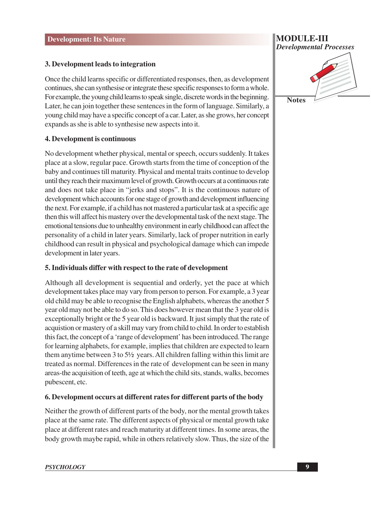#### 3. Development leads to integration

Once the child learns specific or differentiated responses, then, as development continues, she can synthesise or integrate these specific responses to form a whole. For example, the young child learns to speak single, discrete words in the beginning. Later, he can join together these sentences in the form of language. Similarly, a young child may have a specific concept of a car. Later, as she grows, her concept expands as she is able to synthesise new aspects into it.

#### 4. Development is continuous

No development whether physical, mental or speech, occurs suddenly. It takes place at a slow, regular pace. Growth starts from the time of conception of the baby and continues till maturity. Physical and mental traits continue to develop until they reach their maximum level of growth. Growth occurs at a continuous rate and does not take place in "jerks and stops". It is the continuous nature of development which accounts for one stage of growth and development influencing the next. For example, if a child has not mastered a particular task at a specific age then this will affect his mastery over the developmental task of the next stage. The emotional tensions due to unhealthy environment in early childhood can affect the personality of a child in later years. Similarly, lack of proper nutrition in early childhood can result in physical and psychological damage which can impede development in later years.

#### 5. Individuals differ with respect to the rate of development

Although all development is sequential and orderly, yet the pace at which development takes place may vary from person to person. For example, a 3 year old child may be able to recognise the English alphabets, whereas the another 5 year old may not be able to do so. This does however mean that the 3 year old is exceptionally bright or the 5 year old is backward. It just simply that the rate of acquistion or mastery of a skill may vary from child to child. In order to establish this fact, the concept of a 'range of development' has been introduced. The range for learning alphabets, for example, implies that children are expected to learn them anytime between  $3$  to  $5\frac{1}{2}$  years. All children falling within this limit are treated as normal. Differences in the rate of development can be seen in many areas-the acquisition of teeth, age at which the child sits, stands, walks, becomes pubescent, etc.

#### 6. Development occurs at different rates for different parts of the body

Neither the growth of different parts of the body, nor the mental growth takes place at the same rate. The different aspects of physical or mental growth take place at different rates and reach maturity at different times. In some areas, the body growth maybe rapid, while in others relatively slow. Thus, the size of the



**MODULE-III**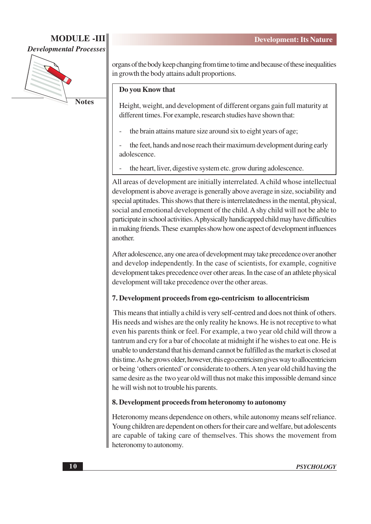### **MODULE-III**

**Developmental Processes** 



**Notes** 

organs of the body keep changing from time to time and because of these inequalities in growth the body attains adult proportions.

#### Do you Know that

Height, weight, and development of different organs gain full maturity at different times. For example, research studies have shown that:

- the brain attains mature size around six to eight years of age;
- the feet, hands and nose reach their maximum development during early adolescence.
- the heart, liver, digestive system etc. grow during adolescence.

All areas of development are initially interrelated. A child whose intellectual development is above average is generally above average in size, sociability and special aptitudes. This shows that there is interrelatedness in the mental, physical, social and emotional development of the child. A shy child will not be able to participate in school activities. A physically handicapped child may have difficulties in making friends. These examples show how one aspect of development influences another

After adolescence, any one area of development may take precedence over another and develop independently. In the case of scientists, for example, cognitive development takes precedence over other areas. In the case of an athlete physical development will take precedence over the other areas.

#### 7. Development proceeds from ego-centricism to allocentricism

This means that intially a child is very self-centred and does not think of others. His needs and wishes are the only reality he knows. He is not receptive to what even his parents think or feel. For example, a two year old child will throw a tantrum and cry for a bar of chocolate at midnight if he wishes to eat one. He is unable to understand that his demand cannot be fulfilled as the market is closed at this time. As he grows older, however, this ego centricism gives way to allocentricism or being 'others oriented' or considerate to others. A ten year old child having the same desire as the two year old will thus not make this impossible demand since he will wish not to trouble his parents.

#### 8. Development proceeds from heteronomy to autonomy

Heteronomy means dependence on others, while autonomy means self reliance. Young children are dependent on others for their care and welfare, but adolescents are capable of taking care of themselves. This shows the movement from heteronomy to autonomy.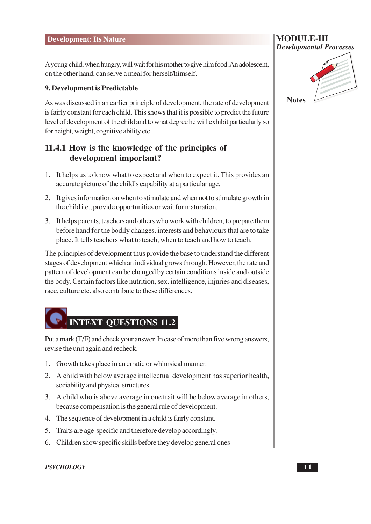A young child, when hungry, will wait for his mother to give him food. An adolescent, on the other hand, can serve a meal for herself/himself.

#### 9. Development is Predictable

As was discussed in an earlier principle of development, the rate of development is fairly constant for each child. This shows that it is possible to predict the future level of development of the child and to what degree he will exhibit particularly so for height, weight, cognitive ability etc.

#### 11.4.1 How is the knowledge of the principles of development important?

- 1. It helps us to know what to expect and when to expect it. This provides an accurate picture of the child's capability at a particular age.
- 2. It gives information on when to stimulate and when not to stimulate growth in the child i.e., provide opportunities or wait for maturation.
- 3. It helps parents, teachers and others who work with children, to prepare them before hand for the bodily changes, interests and behaviours that are to take place. It tells teachers what to teach, when to teach and how to teach.

The principles of development thus provide the base to understand the different stages of development which an individual grows through. However, the rate and pattern of development can be changed by certain conditions inside and outside the body. Certain factors like nutrition, sex. intelligence, injuries and diseases, race, culture etc. also contribute to these differences.

# **INTEXT QUESTIONS 11.2**

Put a mark (T/F) and check your answer. In case of more than five wrong answers, revise the unit again and recheck.

- 1. Growth takes place in an erratic or whimsical manner.
- 2. A child with below average intellectual development has superior health, sociability and physical structures.
- 3. A child who is above average in one trait will be below average in others, because compensation is the general rule of development.
- 4. The sequence of development in a child is fairly constant.
- 5. Traits are age-specific and therefore develop accordingly.
- 6. Children show specific skills before they develop general ones

#### **PSYCHOLOGY**



**Notes**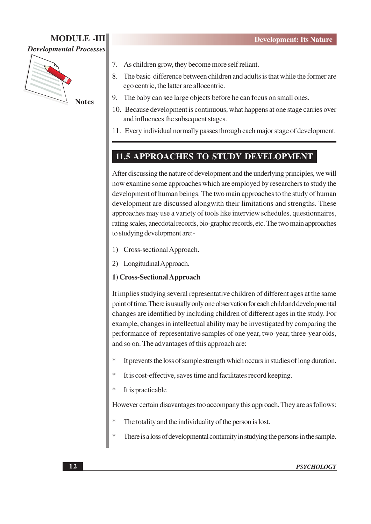#### **MODULE -III Developmental Processes**



- As children grow, they become more self reliant. 7.
- The basic difference between children and adults is that while the former are 8. ego centric, the latter are allocentric.
- 9. The baby can see large objects before he can focus on small ones.
- 10. Because development is continuous, what happens at one stage carries over and influences the subsequent stages.
- 11. Every individual normally passes through each major stage of development.

#### **11.5 APPROACHES TO STUDY DEVELOPMENT**

After discussing the nature of development and the underlying principles, we will now examine some approaches which are employed by researchers to study the development of human beings. The two main approaches to the study of human development are discussed alongwith their limitations and strengths. These approaches may use a variety of tools like interview schedules, questionnaires, rating scales, anecdotal records, bio-graphic records, etc. The two main approaches to studying development are:-

- $\left( \right)$ Cross-sectional Approach.
- $(2)$ Longitudinal Approach.

#### 1) Cross-Sectional Approach

It implies studying several representative children of different ages at the same point of time. There is usually only one observation for each child and developmental changes are identified by including children of different ages in the study. For example, changes in intellectual ability may be investigated by comparing the performance of representative samples of one year, two-year, three-year olds, and so on. The advantages of this approach are:

- It prevents the loss of sample strength which occurs in studies of long duration.
- 大 It is cost-effective, saves time and facilitates record keeping.
- It is practicable

However certain disavantages too accompany this approach. They are as follows:

- The totality and the individuality of the person is lost.
- $\ast$ There is a loss of developmental continuity in studying the persons in the sample.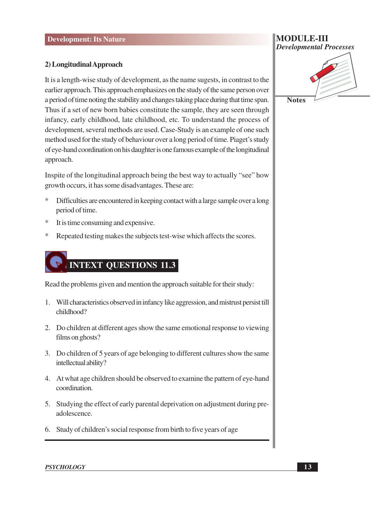#### **Development: Its Nature**

#### 2) Longitudinal Approach

It is a length-wise study of development, as the name suggests, in contrast to the earlier approach. This approach emphasizes on the study of the same person over a period of time noting the stability and changes taking place during that time span. Thus if a set of new born babies constitute the sample, they are seen through infancy, early childhood, late childhood, etc. To understand the process of development, several methods are used. Case-Study is an example of one such method used for the study of behaviour over a long period of time. Piaget's study of eye-hand coordination on his daughter is one famous example of the longitudinal approach.

Inspite of the longitudinal approach being the best way to actually "see" how growth occurs, it has some disadvantages. These are:

- $\ast$ Difficulties are encountered in keeping contact with a large sample over a long period of time.
- $\ast$ It is time consuming and expensive.
- $\ast$ Repeated testing makes the subjects test-wise which affects the scores.

# **INTEXT QUESTIONS 11.3**

Read the problems given and mention the approach suitable for their study:

- 1. Will characteristics observed in infancy like aggression, and mistrust persist till childhood?
- 2. Do children at different ages show the same emotional response to viewing films on ghosts?
- 3. Do children of 5 years of age belonging to different cultures show the same intellectual ability?
- 4. At what age children should be observed to examine the pattern of eye-hand coordination.
- 5. Studying the effect of early parental deprivation on adjustment during preadolescence.
- 6. Study of children's social response from birth to five years of age

# **Developmental Processes Notes**

**MODULE-III**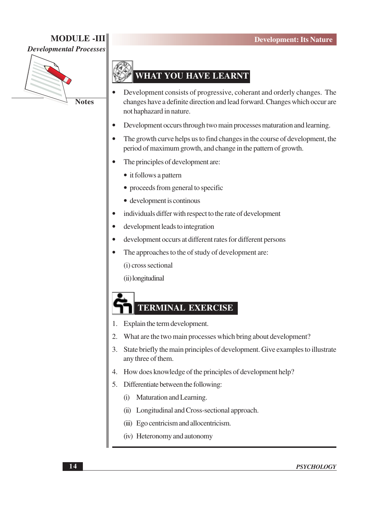## **MODULE -III**





#### **WHAT YOU HAVE LEARNT**

- Development consists of progressive, coherant and orderly changes. The changes have a definite direction and lead forward. Changes which occur are not haphazard in nature.
- Development occurs through two main processes maturation and learning.
- The growth curve helps us to find changes in the course of development, the period of maximum growth, and change in the pattern of growth.
- The principles of development are:
	- it follows a pattern
	- proceeds from general to specific
	- development is continuos
- individuals differ with respect to the rate of development
- development leads to integration
- development occurs at different rates for different persons
- The approaches to the of study of development are:

(i) cross sectional

(ii) longitudinal

# **TERMINAL EXERCISE**

- 1. Explain the term development.
- $\overline{2}$ . What are the two main processes which bring about development?
- $3.$ State briefly the main principles of development. Give examples to illustrate any three of them.
- How does knowledge of the principles of development help? 4.
- 5. Differentiate between the following:
	- (i) Maturation and Learning.
	- (ii) Longitudinal and Cross-sectional approach.
	- (iii) Ego centricism and allocentricism.
	- (iv) Heteronomy and autonomy